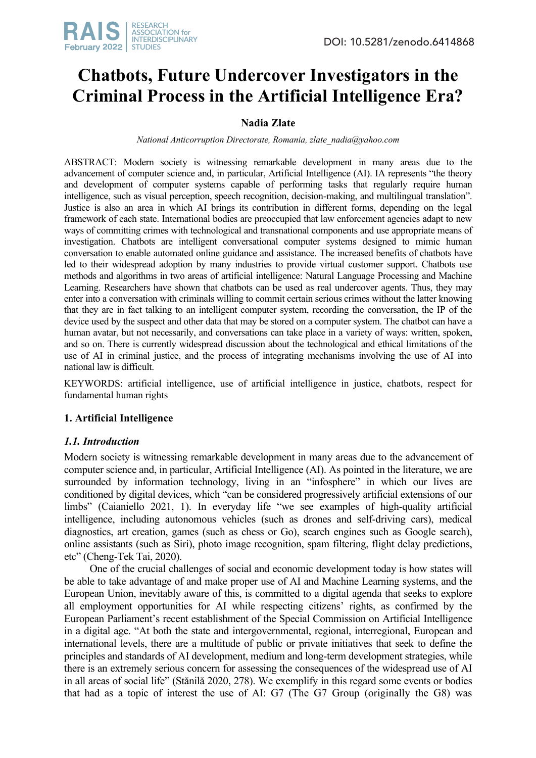

# **Chatbots, Future Undercover Investigators in the Criminal Process in the Artificial Intelligence Era?**

# **Nadia Zlate**

*National Anticorruption Directorate, Romania, zlate\_nadia@yahoo.com*

ABSTRACT: Modern society is witnessing remarkable development in many areas due to the advancement of computer science and, in particular, Artificial Intelligence (AI). IA represents "the theory and development of computer systems capable of performing tasks that regularly require human intelligence, such as visual perception, speech recognition, decision-making, and multilingual translation". Justice is also an area in which AI brings its contribution in different forms, depending on the legal framework of each state. International bodies are preoccupied that law enforcement agencies adapt to new ways of committing crimes with technological and transnational components and use appropriate means of investigation. Chatbots are intelligent conversational computer systems designed to mimic human conversation to enable automated online guidance and assistance. The increased benefits of chatbots have led to their widespread adoption by many industries to provide virtual customer support. Chatbots use methods and algorithms in two areas of artificial intelligence: Natural Language Processing and Machine Learning. Researchers have shown that chatbots can be used as real undercover agents. Thus, they may enter into a conversation with criminals willing to commit certain serious crimes without the latter knowing that they are in fact talking to an intelligent computer system, recording the conversation, the IP of the device used by the suspect and other data that may be stored on a computer system. The chatbot can have a human avatar, but not necessarily, and conversations can take place in a variety of ways: written, spoken, and so on. There is currently widespread discussion about the technological and ethical limitations of the use of AI in criminal justice, and the process of integrating mechanisms involving the use of AI into national law is difficult.

KEYWORDS: artificial intelligence, use of artificial intelligence in justice, chatbots, respect for fundamental human rights

## **1. Artificial Intelligence**

## *1.1. Introduction*

Modern society is witnessing remarkable development in many areas due to the advancement of computer science and, in particular, Artificial Intelligence (AI). As pointed in the literature, we are surrounded by information technology, living in an "infosphere" in which our lives are conditioned by digital devices, which "can be considered progressively artificial extensions of our limbs" (Caianiello 2021, 1). In everyday life "we see examples of high-quality artificial intelligence, including autonomous vehicles (such as drones and self-driving cars), medical diagnostics, art creation, games (such as chess or Go), search engines such as Google search), online assistants (such as Siri), photo image recognition, spam filtering, flight delay predictions, etc" (Cheng-Tek Tai, 2020).

One of the crucial challenges of social and economic development today is how states will be able to take advantage of and make proper use of AI and Machine Learning systems, and the European Union, inevitably aware of this, is committed to a digital agenda that seeks to explore all employment opportunities for AI while respecting citizens' rights, as confirmed by the European Parliament's recent establishment of the Special Commission on Artificial Intelligence in a digital age. "At both the state and intergovernmental, regional, interregional, European and international levels, there are a multitude of public or private initiatives that seek to define the principles and standards of AI development, medium and long-term development strategies, while there is an extremely serious concern for assessing the consequences of the widespread use of AI in all areas of social life" (Stănilă 2020, 278). We exemplify in this regard some events or bodies that had as a topic of interest the use of AI: G7 (The G7 Group (originally the G8) was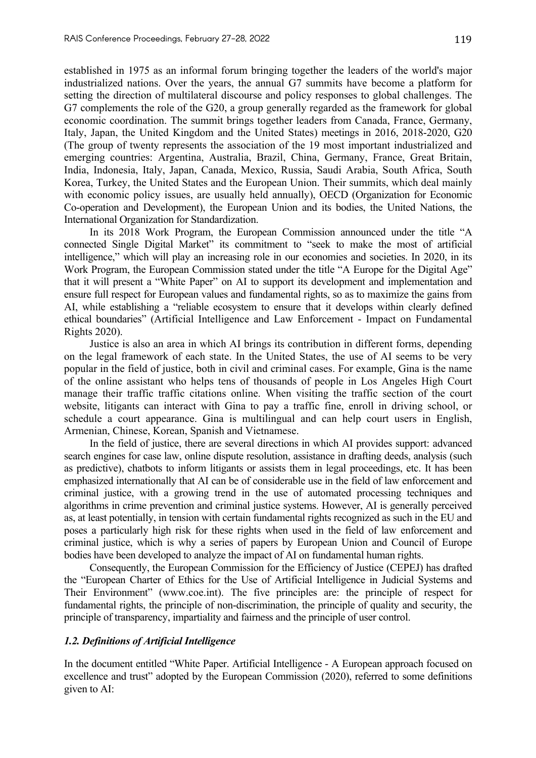established in 1975 as an informal forum bringing together the leaders of the world's major industrialized nations. Over the years, the annual G7 summits have become a platform for setting the direction of multilateral discourse and policy responses to global challenges. The G7 complements the role of the G20, a group generally regarded as the framework for global economic coordination. The summit brings together leaders from Canada, France, Germany, Italy, Japan, the United Kingdom and the United States) meetings in 2016, 2018-2020, G20 (The group of twenty represents the association of the 19 most important industrialized and emerging countries: Argentina, Australia, Brazil, China, Germany, France, Great Britain, India, Indonesia, Italy, Japan, Canada, Mexico, Russia, Saudi Arabia, South Africa, South Korea, Turkey, the United States and the European Union. Their summits, which deal mainly with economic policy issues, are usually held annually), OECD (Organization for Economic Co-operation and Development), the European Union and its bodies, the United Nations, the International Organization for Standardization.

In its 2018 Work Program, the European Commission announced under the title "A connected Single Digital Market" its commitment to "seek to make the most of artificial intelligence," which will play an increasing role in our economies and societies. In 2020, in its Work Program, the European Commission stated under the title "A Europe for the Digital Age" that it will present a "White Paper" on AI to support its development and implementation and ensure full respect for European values and fundamental rights, so as to maximize the gains from AI, while establishing a "reliable ecosystem to ensure that it develops within clearly defined ethical boundaries" (Artificial Intelligence and Law Enforcement - Impact on Fundamental Rights 2020).

Justice is also an area in which AI brings its contribution in different forms, depending on the legal framework of each state. In the United States, the use of AI seems to be very popular in the field of justice, both in civil and criminal cases. For example, Gina is the name of the online assistant who helps tens of thousands of people in Los Angeles High Court manage their traffic traffic citations online. When visiting the traffic section of the court website, litigants can interact with Gina to pay a traffic fine, enroll in driving school, or schedule a court appearance. Gina is multilingual and can help court users in English, Armenian, Chinese, Korean, Spanish and Vietnamese.

In the field of justice, there are several directions in which AI provides support: advanced search engines for case law, online dispute resolution, assistance in drafting deeds, analysis (such as predictive), chatbots to inform litigants or assists them in legal proceedings, etc. It has been emphasized internationally that AI can be of considerable use in the field of law enforcement and criminal justice, with a growing trend in the use of automated processing techniques and algorithms in crime prevention and criminal justice systems. However, AI is generally perceived as, at least potentially, in tension with certain fundamental rights recognized as such in the EU and poses a particularly high risk for these rights when used in the field of law enforcement and criminal justice, which is why a series of papers by European Union and Council of Europe bodies have been developed to analyze the impact of AI on fundamental human rights.

Consequently, the European Commission for the Efficiency of Justice (CEPEJ) has drafted the "European Charter of Ethics for the Use of Artificial Intelligence in Judicial Systems and Their Environment" (www.coe.int). The five principles are: the principle of respect for fundamental rights, the principle of non-discrimination, the principle of quality and security, the principle of transparency, impartiality and fairness and the principle of user control.

## *1.2. Definitions of Artificial Intelligence*

In the document entitled "White Paper. Artificial Intelligence - A European approach focused on excellence and trust" adopted by the European Commission (2020), referred to some definitions given to AI: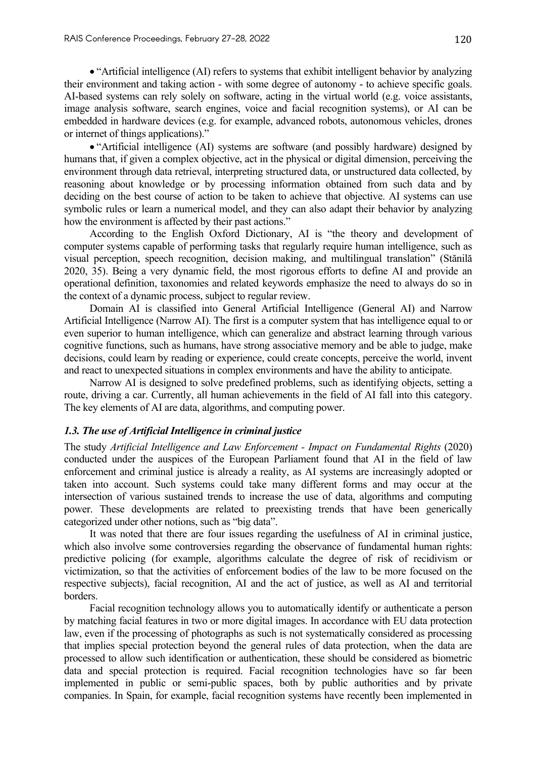• "Artificial intelligence (AI) refers to systems that exhibit intelligent behavior by analyzing their environment and taking action - with some degree of autonomy - to achieve specific goals. AI-based systems can rely solely on software, acting in the virtual world (e.g. voice assistants, image analysis software, search engines, voice and facial recognition systems), or AI can be embedded in hardware devices (e.g. for example, advanced robots, autonomous vehicles, drones or internet of things applications)."

• "Artificial intelligence (AI) systems are software (and possibly hardware) designed by humans that, if given a complex objective, act in the physical or digital dimension, perceiving the environment through data retrieval, interpreting structured data, or unstructured data collected, by reasoning about knowledge or by processing information obtained from such data and by deciding on the best course of action to be taken to achieve that objective. AI systems can use symbolic rules or learn a numerical model, and they can also adapt their behavior by analyzing how the environment is affected by their past actions."

According to the English Oxford Dictionary, AI is "the theory and development of computer systems capable of performing tasks that regularly require human intelligence, such as visual perception, speech recognition, decision making, and multilingual translation" (Stănilă 2020, 35). Being a very dynamic field, the most rigorous efforts to define AI and provide an operational definition, taxonomies and related keywords emphasize the need to always do so in the context of a dynamic process, subject to regular review.

Domain AI is classified into General Artificial Intelligence (General AI) and Narrow Artificial Intelligence (Narrow AI). The first is a computer system that has intelligence equal to or even superior to human intelligence, which can generalize and abstract learning through various cognitive functions, such as humans, have strong associative memory and be able to judge, make decisions, could learn by reading or experience, could create concepts, perceive the world, invent and react to unexpected situations in complex environments and have the ability to anticipate.

Narrow AI is designed to solve predefined problems, such as identifying objects, setting a route, driving a car. Currently, all human achievements in the field of AI fall into this category. The key elements of AI are data, algorithms, and computing power.

#### *1.3. The use of Artificial Intelligence in criminal justice*

The study *Artificial Intelligence and Law Enforcement - Impact on Fundamental Rights* (2020) conducted under the auspices of the European Parliament found that AI in the field of law enforcement and criminal justice is already a reality, as AI systems are increasingly adopted or taken into account. Such systems could take many different forms and may occur at the intersection of various sustained trends to increase the use of data, algorithms and computing power. These developments are related to preexisting trends that have been generically categorized under other notions, such as "big data".

It was noted that there are four issues regarding the usefulness of AI in criminal justice, which also involve some controversies regarding the observance of fundamental human rights: predictive policing (for example, algorithms calculate the degree of risk of recidivism or victimization, so that the activities of enforcement bodies of the law to be more focused on the respective subjects), facial recognition, AI and the act of justice, as well as AI and territorial borders.

Facial recognition technology allows you to automatically identify or authenticate a person by matching facial features in two or more digital images. In accordance with EU data protection law, even if the processing of photographs as such is not systematically considered as processing that implies special protection beyond the general rules of data protection, when the data are processed to allow such identification or authentication, these should be considered as biometric data and special protection is required. Facial recognition technologies have so far been implemented in public or semi-public spaces, both by public authorities and by private companies. In Spain, for example, facial recognition systems have recently been implemented in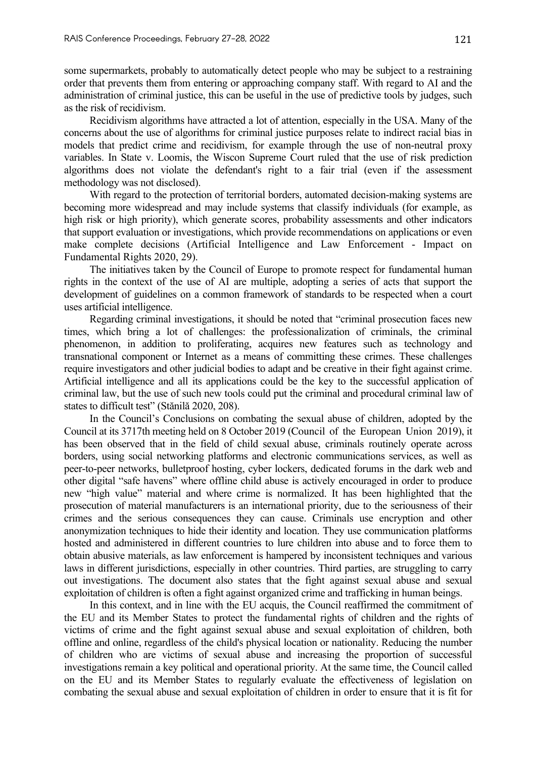some supermarkets, probably to automatically detect people who may be subject to a restraining order that prevents them from entering or approaching company staff. With regard to AI and the administration of criminal justice, this can be useful in the use of predictive tools by judges, such as the risk of recidivism.

Recidivism algorithms have attracted a lot of attention, especially in the USA. Many of the concerns about the use of algorithms for criminal justice purposes relate to indirect racial bias in models that predict crime and recidivism, for example through the use of non-neutral proxy variables. In State v. Loomis, the Wiscon Supreme Court ruled that the use of risk prediction algorithms does not violate the defendant's right to a fair trial (even if the assessment methodology was not disclosed).

With regard to the protection of territorial borders, automated decision-making systems are becoming more widespread and may include systems that classify individuals (for example, as high risk or high priority), which generate scores, probability assessments and other indicators that support evaluation or investigations, which provide recommendations on applications or even make complete decisions (Artificial Intelligence and Law Enforcement - Impact on Fundamental Rights 2020, 29).

The initiatives taken by the Council of Europe to promote respect for fundamental human rights in the context of the use of AI are multiple, adopting a series of acts that support the development of guidelines on a common framework of standards to be respected when a court uses artificial intelligence.

Regarding criminal investigations, it should be noted that "criminal prosecution faces new times, which bring a lot of challenges: the professionalization of criminals, the criminal phenomenon, in addition to proliferating, acquires new features such as technology and transnational component or Internet as a means of committing these crimes. These challenges require investigators and other judicial bodies to adapt and be creative in their fight against crime. Artificial intelligence and all its applications could be the key to the successful application of criminal law, but the use of such new tools could put the criminal and procedural criminal law of states to difficult test" (Stănilă 2020, 208).

In the Council's Conclusions on combating the sexual abuse of children, adopted by the Council at its 3717th meeting held on 8 October 2019 (Council of the European Union 2019), it has been observed that in the field of child sexual abuse, criminals routinely operate across borders, using social networking platforms and electronic communications services, as well as peer-to-peer networks, bulletproof hosting, cyber lockers, dedicated forums in the dark web and other digital "safe havens" where offline child abuse is actively encouraged in order to produce new "high value" material and where crime is normalized. It has been highlighted that the prosecution of material manufacturers is an international priority, due to the seriousness of their crimes and the serious consequences they can cause. Criminals use encryption and other anonymization techniques to hide their identity and location. They use communication platforms hosted and administered in different countries to lure children into abuse and to force them to obtain abusive materials, as law enforcement is hampered by inconsistent techniques and various laws in different jurisdictions, especially in other countries. Third parties, are struggling to carry out investigations. The document also states that the fight against sexual abuse and sexual exploitation of children is often a fight against organized crime and trafficking in human beings.

In this context, and in line with the EU acquis, the Council reaffirmed the commitment of the EU and its Member States to protect the fundamental rights of children and the rights of victims of crime and the fight against sexual abuse and sexual exploitation of children, both offline and online, regardless of the child's physical location or nationality. Reducing the number of children who are victims of sexual abuse and increasing the proportion of successful investigations remain a key political and operational priority. At the same time, the Council called on the EU and its Member States to regularly evaluate the effectiveness of legislation on combating the sexual abuse and sexual exploitation of children in order to ensure that it is fit for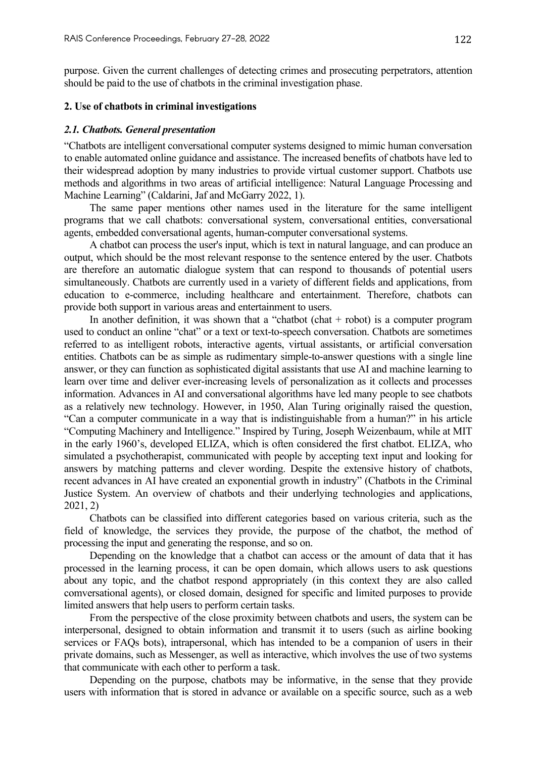purpose. Given the current challenges of detecting crimes and prosecuting perpetrators, attention should be paid to the use of chatbots in the criminal investigation phase.

#### **2. Use of chatbots in criminal investigations**

#### *2.1. Chatbots. General presentation*

"Chatbots are intelligent conversational computer systems designed to mimic human conversation to enable automated online guidance and assistance. The increased benefits of chatbots have led to their widespread adoption by many industries to provide virtual customer support. Chatbots use methods and algorithms in two areas of artificial intelligence: Natural Language Processing and Machine Learning" (Caldarini, Jaf and McGarry 2022, 1).

The same paper mentions other names used in the literature for the same intelligent programs that we call chatbots: conversational system, conversational entities, conversational agents, embedded conversational agents, human-computer conversational systems.

A chatbot can process the user's input, which is text in natural language, and can produce an output, which should be the most relevant response to the sentence entered by the user. Chatbots are therefore an automatic dialogue system that can respond to thousands of potential users simultaneously. Chatbots are currently used in a variety of different fields and applications, from education to e-commerce, including healthcare and entertainment. Therefore, chatbots can provide both support in various areas and entertainment to users.

In another definition, it was shown that a "chatbot (chat  $+$  robot) is a computer program used to conduct an online "chat" or a text or text-to-speech conversation. Chatbots are sometimes referred to as intelligent robots, interactive agents, virtual assistants, or artificial conversation entities. Chatbots can be as simple as rudimentary simple-to-answer questions with a single line answer, or they can function as sophisticated digital assistants that use AI and machine learning to learn over time and deliver ever-increasing levels of personalization as it collects and processes information. Advances in AI and conversational algorithms have led many people to see chatbots as a relatively new technology. However, in 1950, Alan Turing originally raised the question, "Can a computer communicate in a way that is indistinguishable from a human?" in his article "Computing Machinery and Intelligence." Inspired by Turing, Joseph Weizenbaum, while at MIT in the early 1960's, developed ELIZA, which is often considered the first chatbot. ELIZA, who simulated a psychotherapist, communicated with people by accepting text input and looking for answers by matching patterns and clever wording. Despite the extensive history of chatbots, recent advances in AI have created an exponential growth in industry" (Chatbots in the Criminal Justice System. An overview of chatbots and their underlying technologies and applications, 2021, 2)

Chatbots can be classified into different categories based on various criteria, such as the field of knowledge, the services they provide, the purpose of the chatbot, the method of processing the input and generating the response, and so on.

Depending on the knowledge that a chatbot can access or the amount of data that it has processed in the learning process, it can be open domain, which allows users to ask questions about any topic, and the chatbot respond appropriately (in this context they are also called comversational agents), or closed domain, designed for specific and limited purposes to provide limited answers that help users to perform certain tasks.

From the perspective of the close proximity between chatbots and users, the system can be interpersonal, designed to obtain information and transmit it to users (such as airline booking services or FAQs bots), intrapersonal, which has intended to be a companion of users in their private domains, such as Messenger, as well as interactive, which involves the use of two systems that communicate with each other to perform a task.

Depending on the purpose, chatbots may be informative, in the sense that they provide users with information that is stored in advance or available on a specific source, such as a web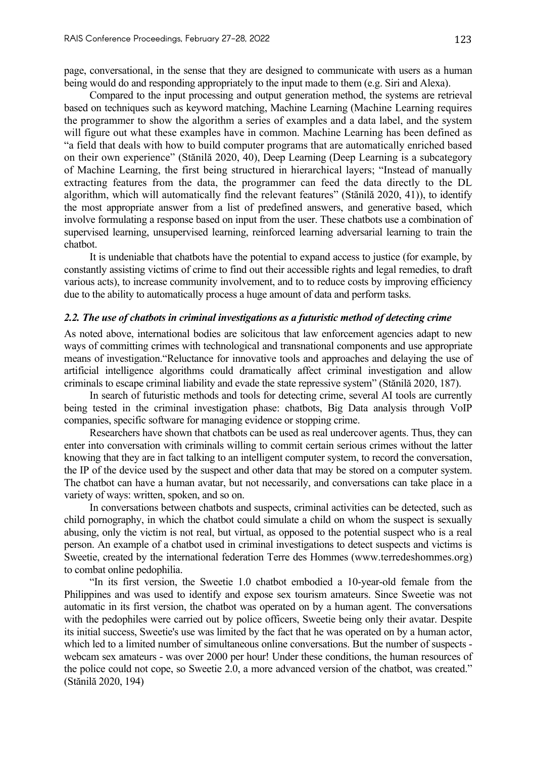page, conversational, in the sense that they are designed to communicate with users as a human being would do and responding appropriately to the input made to them (e.g. Siri and Alexa).

Compared to the input processing and output generation method, the systems are retrieval based on techniques such as keyword matching, Machine Learning (Machine Learning requires the programmer to show the algorithm a series of examples and a data label, and the system will figure out what these examples have in common. Machine Learning has been defined as "a field that deals with how to build computer programs that are automatically enriched based on their own experience" (Stănilă 2020, 40), Deep Learning (Deep Learning is a subcategory of Machine Learning, the first being structured in hierarchical layers; "Instead of manually extracting features from the data, the programmer can feed the data directly to the DL algorithm, which will automatically find the relevant features" (Stănilă 2020, 41)), to identify the most appropriate answer from a list of predefined answers, and generative based, which involve formulating a response based on input from the user. These chatbots use a combination of supervised learning, unsupervised learning, reinforced learning adversarial learning to train the chatbot.

It is undeniable that chatbots have the potential to expand access to justice (for example, by constantly assisting victims of crime to find out their accessible rights and legal remedies, to draft various acts), to increase community involvement, and to to reduce costs by improving efficiency due to the ability to automatically process a huge amount of data and perform tasks.

#### *2.2. The use of chatbots in criminal investigations as a futuristic method of detecting crime*

As noted above, international bodies are solicitous that law enforcement agencies adapt to new ways of committing crimes with technological and transnational components and use appropriate means of investigation."Reluctance for innovative tools and approaches and delaying the use of artificial intelligence algorithms could dramatically affect criminal investigation and allow criminals to escape criminal liability and evade the state repressive system" (Stănilă 2020, 187).

In search of futuristic methods and tools for detecting crime, several AI tools are currently being tested in the criminal investigation phase: chatbots, Big Data analysis through VoIP companies, specific software for managing evidence or stopping crime.

Researchers have shown that chatbots can be used as real undercover agents. Thus, they can enter into conversation with criminals willing to commit certain serious crimes without the latter knowing that they are in fact talking to an intelligent computer system, to record the conversation, the IP of the device used by the suspect and other data that may be stored on a computer system. The chatbot can have a human avatar, but not necessarily, and conversations can take place in a variety of ways: written, spoken, and so on.

In conversations between chatbots and suspects, criminal activities can be detected, such as child pornography, in which the chatbot could simulate a child on whom the suspect is sexually abusing, only the victim is not real, but virtual, as opposed to the potential suspect who is a real person. An example of a chatbot used in criminal investigations to detect suspects and victims is Sweetie, created by the international federation Terre des Hommes (www.terredeshommes.org) to combat online pedophilia.

"In its first version, the Sweetie 1.0 chatbot embodied a 10-year-old female from the Philippines and was used to identify and expose sex tourism amateurs. Since Sweetie was not automatic in its first version, the chatbot was operated on by a human agent. The conversations with the pedophiles were carried out by police officers, Sweetie being only their avatar. Despite its initial success, Sweetie's use was limited by the fact that he was operated on by a human actor, which led to a limited number of simultaneous online conversations. But the number of suspects webcam sex amateurs - was over 2000 per hour! Under these conditions, the human resources of the police could not cope, so Sweetie 2.0, a more advanced version of the chatbot, was created." (Stănilă 2020, 194)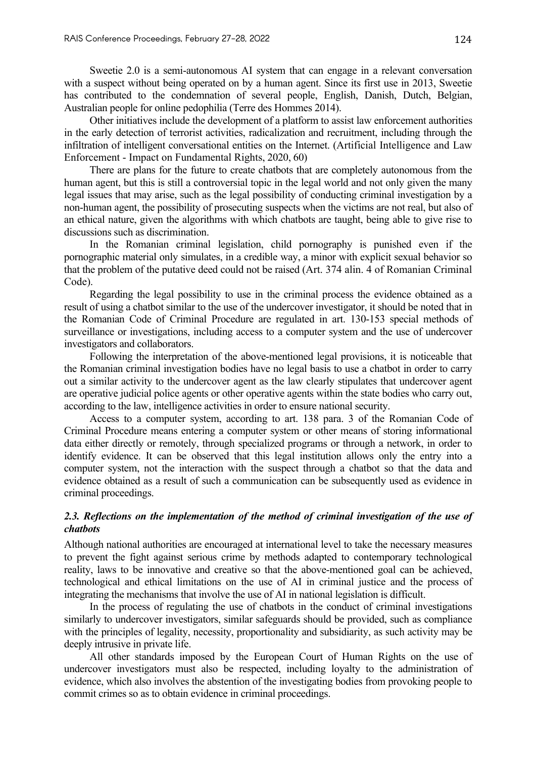Sweetie 2.0 is a semi-autonomous AI system that can engage in a relevant conversation with a suspect without being operated on by a human agent. Since its first use in 2013, Sweetie has contributed to the condemnation of several people, English, Danish, Dutch, Belgian, Australian people for online pedophilia (Terre des Hommes 2014).

Other initiatives include the development of a platform to assist law enforcement authorities in the early detection of terrorist activities, radicalization and recruitment, including through the infiltration of intelligent conversational entities on the Internet. (Artificial Intelligence and Law Enforcement - Impact on Fundamental Rights, 2020, 60)

There are plans for the future to create chatbots that are completely autonomous from the human agent, but this is still a controversial topic in the legal world and not only given the many legal issues that may arise, such as the legal possibility of conducting criminal investigation by a non-human agent, the possibility of prosecuting suspects when the victims are not real, but also of an ethical nature, given the algorithms with which chatbots are taught, being able to give rise to discussions such as discrimination.

In the Romanian criminal legislation, child pornography is punished even if the pornographic material only simulates, in a credible way, a minor with explicit sexual behavior so that the problem of the putative deed could not be raised (Art. 374 alin. 4 of Romanian Criminal Code).

Regarding the legal possibility to use in the criminal process the evidence obtained as a result of using a chatbot similar to the use of the undercover investigator, it should be noted that in the Romanian Code of Criminal Procedure are regulated in art. 130-153 special methods of surveillance or investigations, including access to a computer system and the use of undercover investigators and collaborators.

Following the interpretation of the above-mentioned legal provisions, it is noticeable that the Romanian criminal investigation bodies have no legal basis to use a chatbot in order to carry out a similar activity to the undercover agent as the law clearly stipulates that undercover agent are operative judicial police agents or other operative agents within the state bodies who carry out, according to the law, intelligence activities in order to ensure national security.

Access to a computer system, according to art. 138 para. 3 of the Romanian Code of Criminal Procedure means entering a computer system or other means of storing informational data either directly or remotely, through specialized programs or through a network, in order to identify evidence. It can be observed that this legal institution allows only the entry into a computer system, not the interaction with the suspect through a chatbot so that the data and evidence obtained as a result of such a communication can be subsequently used as evidence in criminal proceedings.

## 2.3. Reflections on the implementation of the method of criminal investigation of the use of *chatbots*

Although national authorities are encouraged at international level to take the necessary measures to prevent the fight against serious crime by methods adapted to contemporary technological reality, laws to be innovative and creative so that the above-mentioned goal can be achieved, technological and ethical limitations on the use of AI in criminal justice and the process of integrating the mechanisms that involve the use of AI in national legislation is difficult.

In the process of regulating the use of chatbots in the conduct of criminal investigations similarly to undercover investigators, similar safeguards should be provided, such as compliance with the principles of legality, necessity, proportionality and subsidiarity, as such activity may be deeply intrusive in private life.

All other standards imposed by the European Court of Human Rights on the use of undercover investigators must also be respected, including loyalty to the administration of evidence, which also involves the abstention of the investigating bodies from provoking people to commit crimes so as to obtain evidence in criminal proceedings.